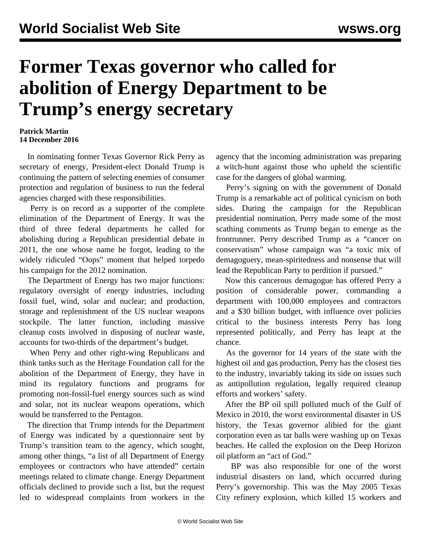## **Former Texas governor who called for abolition of Energy Department to be Trump's energy secretary**

## **Patrick Martin 14 December 2016**

 In nominating former Texas Governor Rick Perry as secretary of energy, President-elect Donald Trump is continuing the pattern of selecting enemies of consumer protection and regulation of business to run the federal agencies charged with these responsibilities.

 Perry is on record as a supporter of the complete elimination of the Department of Energy. It was the third of three federal departments he called for abolishing during a Republican presidential debate in 2011, the one whose name he forgot, leading to the widely ridiculed "Oops" moment that helped torpedo his campaign for the 2012 nomination.

 The Department of Energy has two major functions: regulatory oversight of energy industries, including fossil fuel, wind, solar and nuclear; and production, storage and replenishment of the US nuclear weapons stockpile. The latter function, including massive cleanup costs involved in disposing of nuclear waste, accounts for two-thirds of the department's budget.

 When Perry and other right-wing Republicans and think tanks such as the Heritage Foundation call for the abolition of the Department of Energy, they have in mind its regulatory functions and programs for promoting non-fossil-fuel energy sources such as wind and solar, not its nuclear weapons operations, which would be transferred to the Pentagon.

 The direction that Trump intends for the Department of Energy was indicated by a questionnaire sent by Trump's transition team to the agency, which sought, among other things, "a list of all Department of Energy employees or contractors who have attended" certain meetings related to climate change. Energy Department officials declined to provide such a list, but the request led to widespread complaints from workers in the

agency that the incoming administration was preparing a witch-hunt against those who upheld the scientific case for the dangers of global warming.

 Perry's signing on with the government of Donald Trump is a remarkable act of political cynicism on both sides. During the campaign for the Republican presidential nomination, Perry made some of the most scathing comments as Trump began to emerge as the frontrunner. Perry described Trump as a "cancer on conservatism" whose campaign was "a toxic mix of demagoguery, mean-spiritedness and nonsense that will lead the Republican Party to perdition if pursued."

 Now this cancerous demagogue has offered Perry a position of considerable power, commanding a department with 100,000 employees and contractors and a \$30 billion budget, with influence over policies critical to the business interests Perry has long represented politically, and Perry has leapt at the chance.

 As the governor for 14 years of the state with the highest oil and gas production, Perry has the closest ties to the industry, invariably taking its side on issues such as antipollution regulation, legally required cleanup efforts and workers' safety.

 After the BP oil spill polluted much of the Gulf of Mexico in 2010, the worst environmental disaster in US history, the Texas governor alibied for the giant corporation even as tar balls were washing up on Texas beaches. He called the explosion on the Deep Horizon oil platform an "act of God."

 BP was also responsible for one of the worst industrial disasters on land, which occurred during Perry's governorship. This was the May 2005 Texas City refinery explosion, which killed 15 workers and